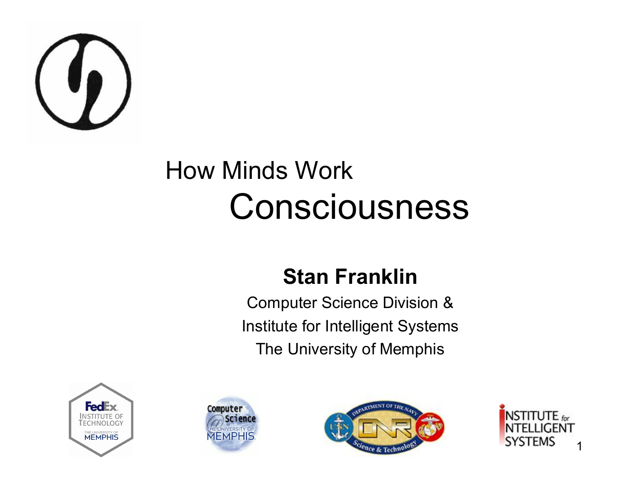

#### How Minds Work Consciousness

#### **Stan Franklin**

Computer Science Division & Institute for Intelligent Systems The University of Memphis







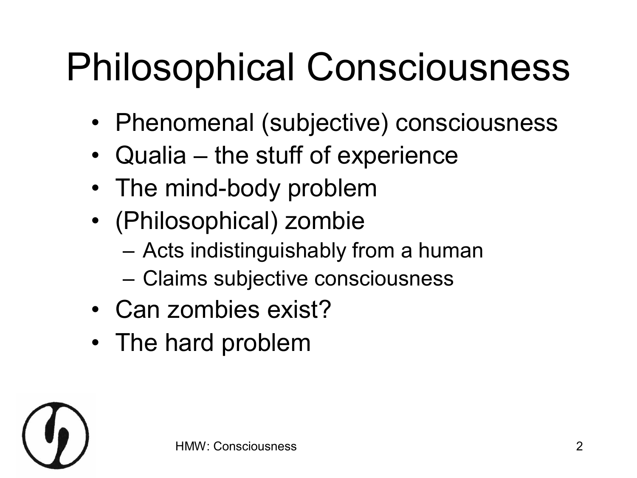## Philosophical Consciousness

- Phenomenal (subjective) consciousness
- Qualia the stuff of experience
- The mind-body problem
- (Philosophical) zombie
	- Acts indistinguishably from a human
	- Claims subjective consciousness
- Can zombies exist?
- The hard problem

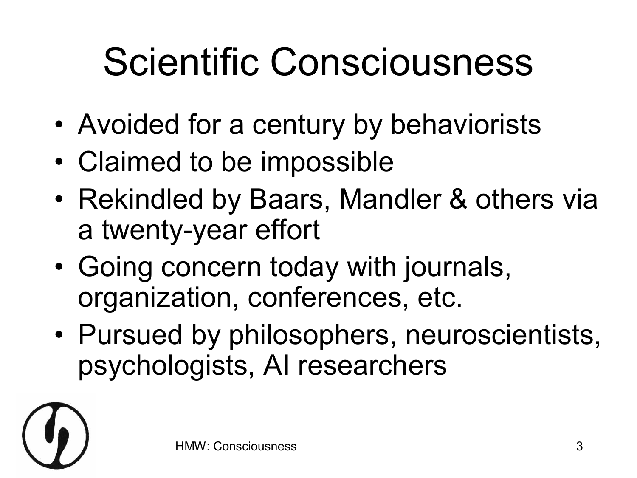## Scientific Consciousness

- Avoided for a century by behaviorists
- Claimed to be impossible
- Rekindled by Baars, Mandler & others via a twenty-year effort
- Going concern today with journals, organization, conferences, etc.
- Pursued by philosophers, neuroscientists, psychologists, AI researchers

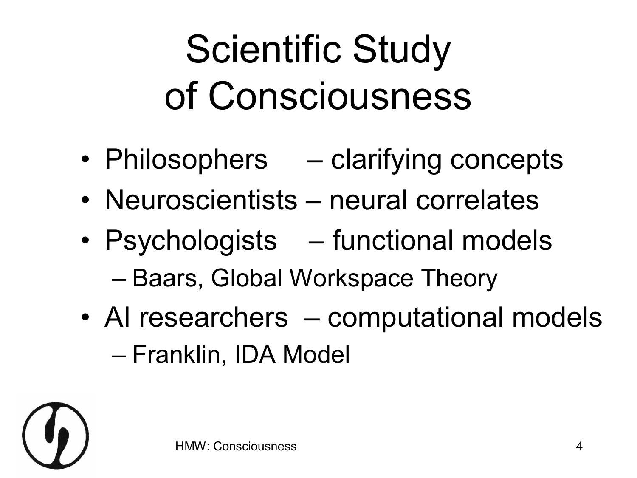## Scientific Study of Consciousness

- Philosophers clarifying concepts
- Neuroscientists neural correlates
- Psychologists functional models – Baars, Global Workspace Theory
- AI researchers computational models – Franklin, IDA Model

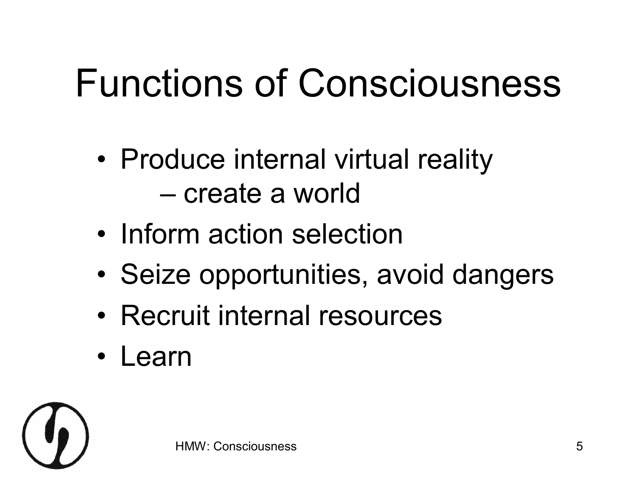## Functions of Consciousness

- Produce internal virtual reality – create a world
- Inform action selection
- Seize opportunities, avoid dangers
- Recruit internal resources
- Learn

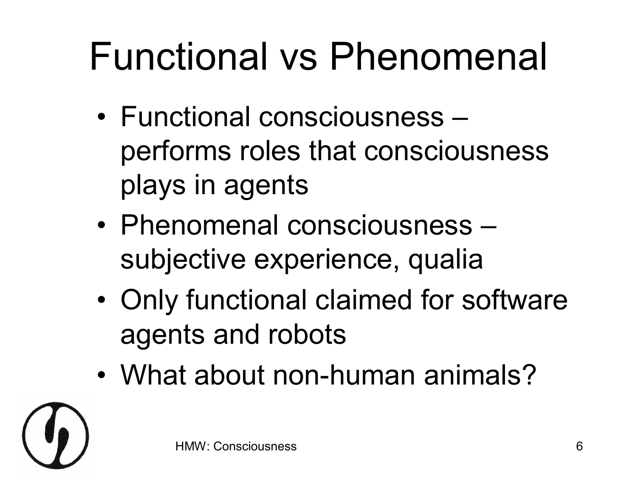## Functional vs Phenomenal

- Functional consciousness performs roles that consciousness plays in agents
- Phenomenal consciousness subjective experience, qualia
- Only functional claimed for software agents and robots
- What about non-human animals?

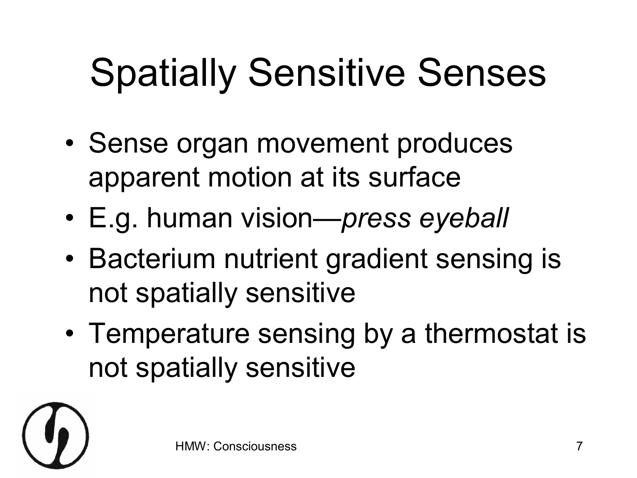# Spatially Sensitive Senses

- Sense organ movement produces apparent motion at its surface
- E.g. human vision—*press eyeball*
- Bacterium nutrient gradient sensing is not spatially sensitive
- Temperature sensing by a thermostat is not spatially sensitive

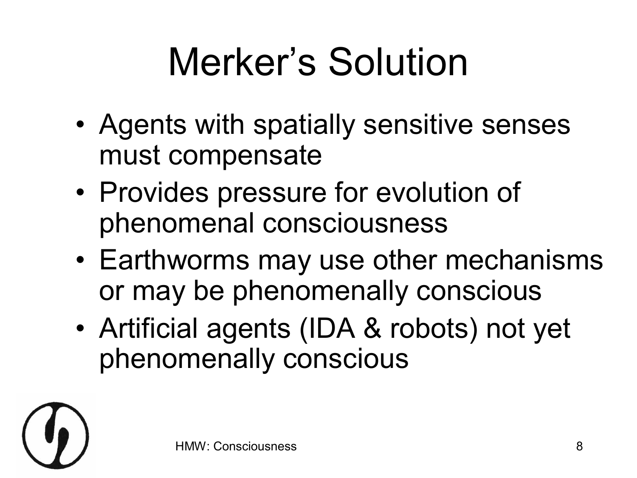# Merker's Solution

- Agents with spatially sensitive senses must compensate
- Provides pressure for evolution of phenomenal consciousness
- Earthworms may use other mechanisms or may be phenomenally conscious
- Artificial agents (IDA & robots) not yet phenomenally conscious

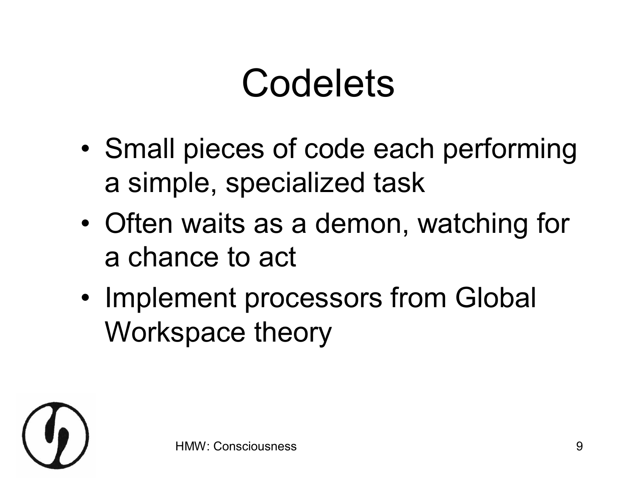#### Codelets

- Small pieces of code each performing a simple, specialized task
- Often waits as a demon, watching for a chance to act
- Implement processors from Global Workspace theory

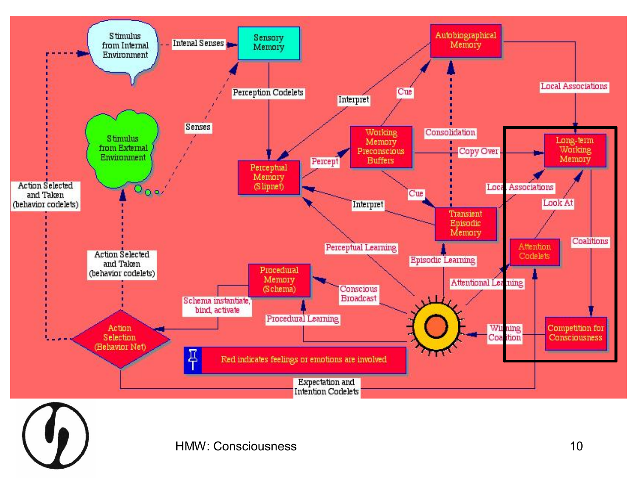

HMW: Consciousness 10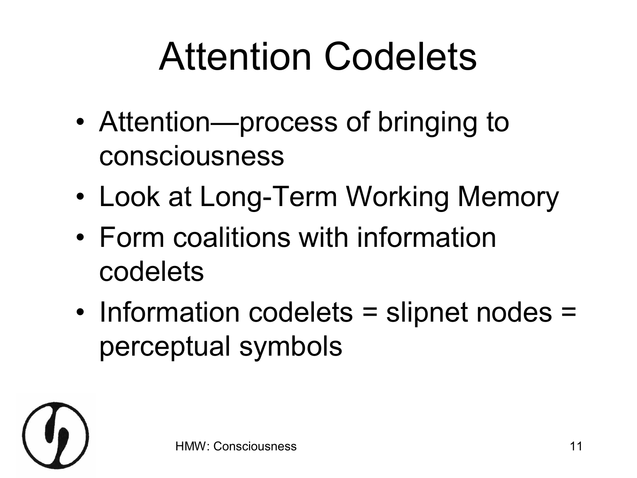## Attention Codelets

- Attention—process of bringing to consciousness
- Look at Long-Term Working Memory
- Form coalitions with information codelets
- Information codelets = slipnet nodes = perceptual symbols

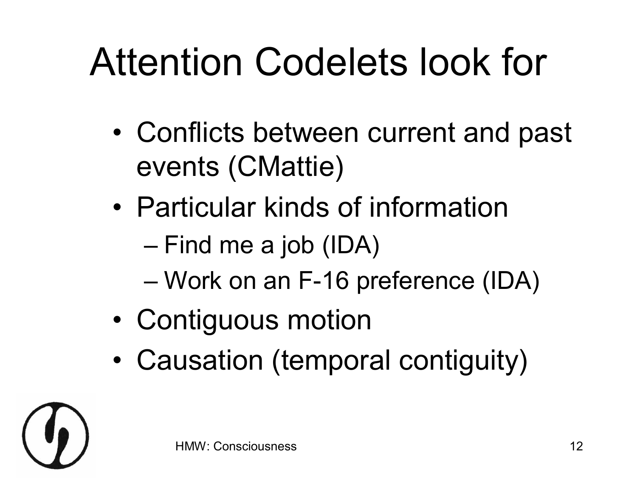## Attention Codelets look for

- Conflicts between current and past events (CMattie)
- Particular kinds of information
	- Find me a job (IDA)
	- Work on an F16 preference (IDA)
- Contiguous motion
- Causation (temporal contiguity)

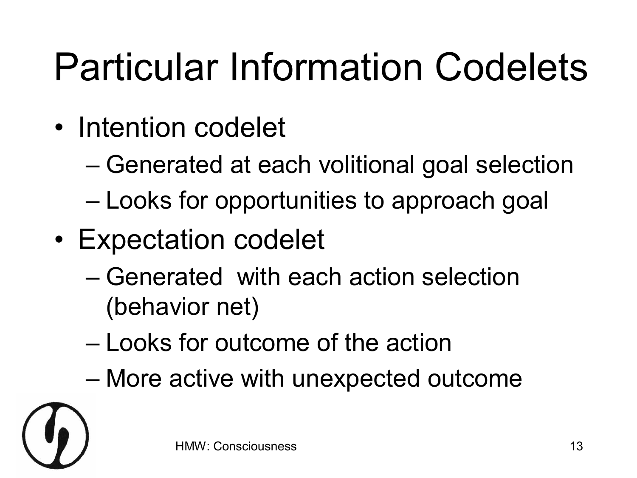## Particular Information Codelets

- Intention codelet
	- Generated at each volitional goal selection
	- Looks for opportunities to approach goal
- Expectation codelet
	- Generated with each action selection (behavior net)
	- Looks for outcome of the action
	- More active with unexpected outcome

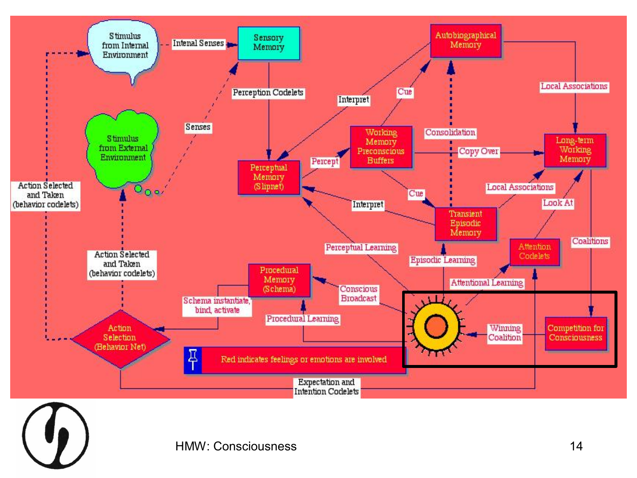

HMW: Consciousness 14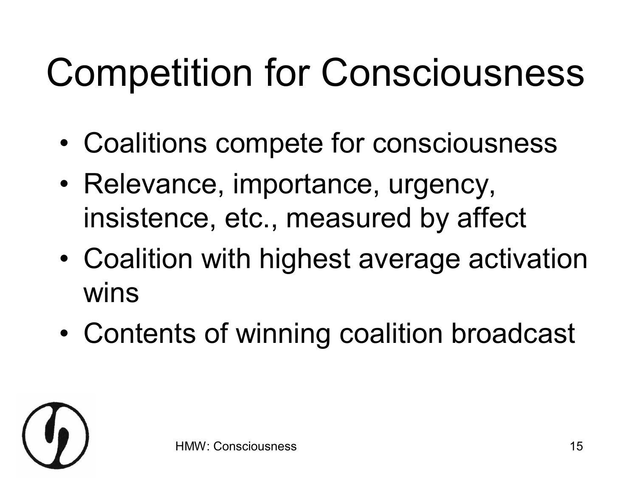## Competition for Consciousness

- Coalitions compete for consciousness
- Relevance, importance, urgency, insistence, etc., measured by affect
- Coalition with highest average activation wins
- Contents of winning coalition broadcast

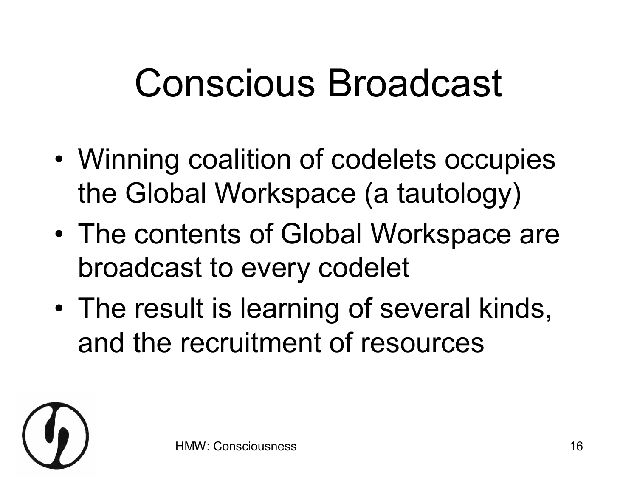## Conscious Broadcast

- Winning coalition of codelets occupies the Global Workspace (a tautology)
- The contents of Global Workspace are broadcast to every codelet
- The result is learning of several kinds, and the recruitment of resources

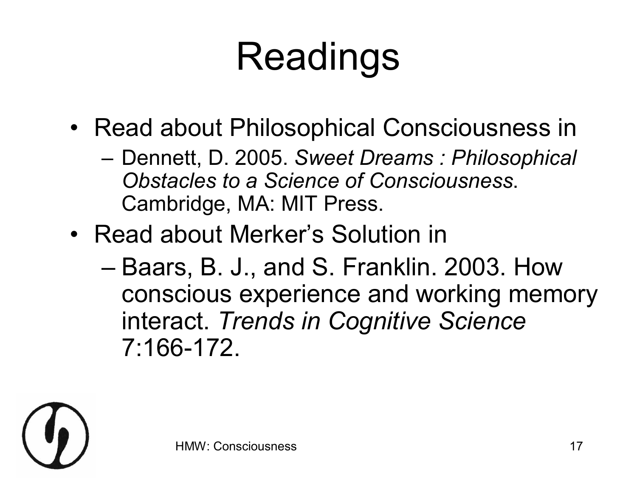# Readings

- Read about Philosophical Consciousness in
	- Dennett, D. 2005. *Sweet Dreams : Philosophical Obstacles to a Science of Consciousness*. Cambridge, MA: MIT Press.
- Read about Merker's Solution in
	- Baars, B. J., and S. Franklin. 2003. How conscious experience and working memory interact. *Trends in Cognitive Science* 7:166172.